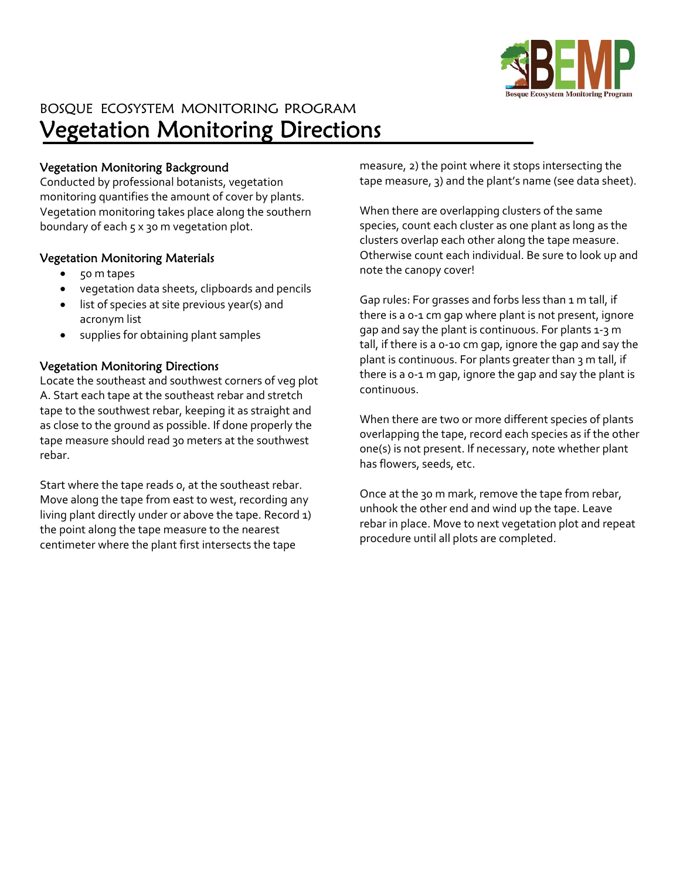

# BOSQUE ECOSYSTEM MONITORING PROGRAM Vegetation Monitoring Directions

### Vegetation Monitoring Background

Conducted by professional botanists, vegetation monitoring quantifies the amount of cover by plants. Vegetation monitoring takes place along the southern boundary of each 5 x 30 m vegetation plot.

#### Vegetation Monitoring Materials

- 50 m tapes
- vegetation data sheets, clipboards and pencils
- list of species at site previous year(s) and acronym list
- supplies for obtaining plant samples

### Vegetation Monitoring Directions

Locate the southeast and southwest corners of veg plot A. Start each tape at the southeast rebar and stretch tape to the southwest rebar, keeping it as straight and as close to the ground as possible. If done properly the tape measure should read 30 meters at the southwest rebar.

Start where the tape reads 0, at the southeast rebar. Move along the tape from east to west, recording any living plant directly under or above the tape. Record 1) the point along the tape measure to the nearest centimeter where the plant first intersects the tape

measure, 2) the point where it stops intersecting the tape measure, 3) and the plant's name (see data sheet).

When there are overlapping clusters of the same species, count each cluster as one plant as long as the clusters overlap each other along the tape measure. Otherwise count each individual. Be sure to look up and note the canopy cover!

Gap rules: For grasses and forbs less than 1 m tall, if there is a 0‐1 cm gap where plant is not present, ignore gap and say the plant is continuous. For plants 1‐3 m tall, if there is a 0‐10 cm gap, ignore the gap and say the plant is continuous. For plants greater than 3 m tall, if there is a 0‐1 m gap, ignore the gap and say the plant is continuous.

When there are two or more different species of plants overlapping the tape, record each species as if the other one(s) is not present. If necessary, note whether plant has flowers, seeds, etc.

Once at the 30 m mark, remove the tape from rebar, unhook the other end and wind up the tape. Leave rebar in place. Move to next vegetation plot and repeat procedure until all plots are completed.